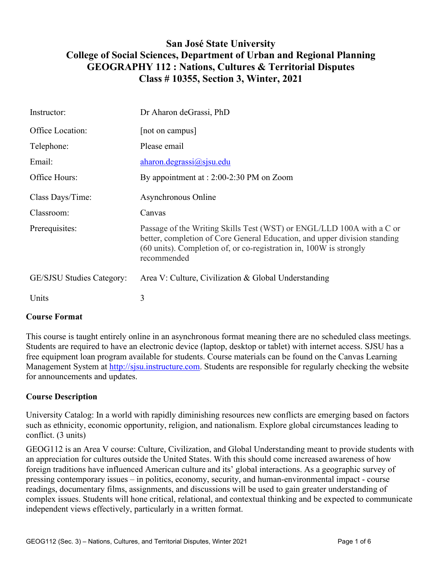# **San José State University College of Social Sciences, Department of Urban and Regional Planning GEOGRAPHY 112 : Nations, Cultures & Territorial Disputes Class # 10355, Section 3, Winter, 2021**

| Instructor:               | Dr Aharon deGrassi, PhD                                                                                                                                                                                                                 |
|---------------------------|-----------------------------------------------------------------------------------------------------------------------------------------------------------------------------------------------------------------------------------------|
| Office Location:          | [not on campus]                                                                                                                                                                                                                         |
| Telephone:                | Please email                                                                                                                                                                                                                            |
| Email:                    | aharon. de grassi@sisu.edu                                                                                                                                                                                                              |
| Office Hours:             | By appointment at : 2:00-2:30 PM on Zoom                                                                                                                                                                                                |
| Class Days/Time:          | Asynchronous Online                                                                                                                                                                                                                     |
| Classroom:                | Canvas                                                                                                                                                                                                                                  |
| Prerequisites:            | Passage of the Writing Skills Test (WST) or ENGL/LLD 100A with a C or<br>better, completion of Core General Education, and upper division standing<br>(60 units). Completion of, or co-registration in, 100W is strongly<br>recommended |
| GE/SJSU Studies Category: | Area V: Culture, Civilization & Global Understanding                                                                                                                                                                                    |
| Units                     | 3                                                                                                                                                                                                                                       |

# **Course Format**

This course is taught entirely online in an asynchronous format meaning there are no scheduled class meetings. Students are required to have an electronic device (laptop, desktop or tablet) with internet access. SJSU has a free equipment loan program available for students. Course materials can be found on the Canvas Learning Management System at [http://sjsu.instructure.com.](http://sjsu.instructure.com/) Students are responsible for regularly checking the website for announcements and updates.

# **Course Description**

University Catalog: In a world with rapidly diminishing resources new conflicts are emerging based on factors such as ethnicity, economic opportunity, religion, and nationalism. Explore global circumstances leading to conflict. (3 units)

GEOG112 is an Area V course: Culture, Civilization, and Global Understanding meant to provide students with an appreciation for cultures outside the United States. With this should come increased awareness of how foreign traditions have influenced American culture and its' global interactions. As a geographic survey of pressing contemporary issues – in politics, economy, security, and human-environmental impact - course readings, documentary films, assignments, and discussions will be used to gain greater understanding of complex issues. Students will hone critical, relational, and contextual thinking and be expected to communicate independent views effectively, particularly in a written format.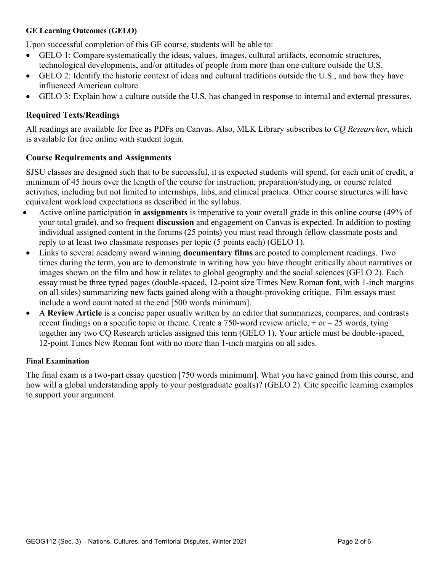#### **GE Learning Outcomes (GELO)**

Upon successful completion of this GE course, students will be able to:

- GELO 1: Compare systematically the ideas, values, images, cultural artifacts, economic structures, technological developments, and/or attitudes of people from more than one culture outside the U.S.
- GELO 2: Identify the historic context of ideas and cultural traditions outside the U.S., and how they have influenced American culture.
- GELO 3: Explain how a culture outside the U.S. has changed in response to internal and external pressures.

#### **Required Texts/Readings**

All readings are available for free as PDFs on Canvas. Also, MLK Library subscribes to *CQ Researcher*, which is available for free online with student login.

#### **Course Requirements and Assignments**

SJSU classes are designed such that to be successful, it is expected students will spend, for each unit of credit, a minimum of 45 hours over the length of the course for instruction, preparation/studying, or course related activities, including but not limited to internships, labs, and clinical practica. Other course structures will have equivalent workload expectations as described in the syllabus.

- Active online participation in **assignments** is imperative to your overall grade in this online course (49% of your total grade), and so frequent **discussion** and engagement on Canvas is expected. In addition to posting individual assigned content in the forums (25 points) you must read through fellow classmate posts and reply to at least two classmate responses per topic (5 points each) (GELO 1).
- Links to several academy award winning **documentary films** are posted to complement readings. Two times during the term, you are to demonstrate in writing how you have thought critically about narratives or images shown on the film and how it relates to global geography and the social sciences (GELO 2). Each essay must be three typed pages (double-spaced, 12-point size Times New Roman font, with 1-inch margins on all sides) summarizing new facts gained along with a thought-provoking critique. Film essays must include a word count noted at the end [500 words minimum].
- A **Review Article** is a concise paper usually written by an editor that summarizes, compares, and contrasts recent findings on a specific topic or theme. Create a 750-word review article, + or – 25 words, tying together any two CQ Research articles assigned this term (GELO 1). Your article must be double-spaced, 12-point Times New Roman font with no more than 1-inch margins on all sides.

#### **Final Examination**

The final exam is a two-part essay question [750 words minimum]. What you have gained from this course, and how will a global understanding apply to your postgraduate goal(s)? (GELO 2). Cite specific learning examples to support your argument.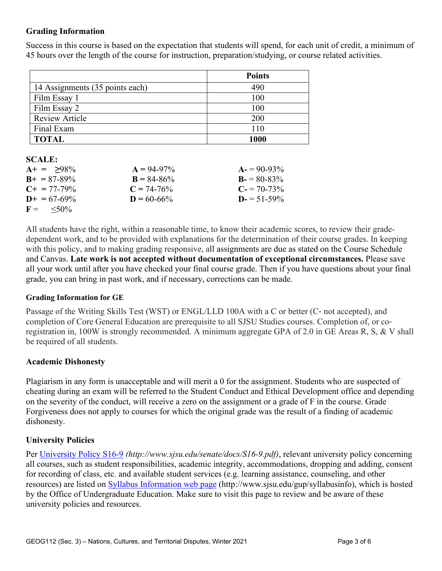# **Grading Information**

Success in this course is based on the expectation that students will spend, for each unit of credit, a minimum of 45 hours over the length of the course for instruction, preparation/studying, or course related activities.

|                                 | <b>Points</b> |
|---------------------------------|---------------|
| 14 Assignments (35 points each) | 490           |
| Film Essay 1                    | 100           |
| Film Essay 2                    | 100           |
| <b>Review Article</b>           | 200           |
| Final Exam                      | 110           |
| <b>TOTAL</b>                    | 1000          |

#### **SCALE:**

| $A+ = 98\%$           | $A = 94-97\%$   | $A = 90-93\%$   |
|-----------------------|-----------------|-----------------|
| $B_{+} = 87 - 89\%$   | $B = 84 - 86\%$ | $B = 80-83\%$   |
| $C_{\pm} = 77 - 79\%$ | $C = 74-76\%$   | $C = 70-73\%$   |
| $D+ = 67-69\%$        | $D = 60 - 66\%$ | $D = 51 - 59\%$ |
| $F = \frac{50\%}{6}$  |                 |                 |

All students have the right, within a reasonable time, to know their academic scores, to review their gradedependent work, and to be provided with explanations for the determination of their course grades. In keeping with this policy, and to making grading responsive, all assignments are due as stated on the Course Schedule and Canvas. **Late work is not accepted without documentation of exceptional circumstances.** Please save all your work until after you have checked your final course grade. Then if you have questions about your final grade, you can bring in past work, and if necessary, corrections can be made.

#### **Grading Information for GE**

Passage of the Writing Skills Test (WST) or ENGL/LLD 100A with a C or better (C‐ not accepted), and completion of Core General Education are prerequisite to all SJSU Studies courses. Completion of, or coregistration in, 100W is strongly recommended. A minimum aggregate GPA of 2.0 in GE Areas R, S, & V shall be required of all students.

# **Academic Dishonesty**

Plagiarism in any form is unacceptable and will merit a 0 for the assignment. Students who are suspected of cheating during an exam will be referred to the Student Conduct and Ethical Development office and depending on the severity of the conduct, will receive a zero on the assignment or a grade of F in the course. Grade Forgiveness does not apply to courses for which the original grade was the result of a finding of academic dishonesty.

# **University Policies**

Per [University Policy S16-9](http://www.sjsu.edu/senate/docs/S16-9.pdf) *(http://www.sjsu.edu/senate/docs/S16-9.pdf)*, relevant university policy concerning all courses, such as student responsibilities, academic integrity, accommodations, dropping and adding, consent for recording of class, etc. and available student services (e.g. learning assistance, counseling, and other resources) are listed on [Syllabus Information](http://www.sjsu.edu/gup/syllabusinfo/) web page (http://www.sjsu.edu/gup/syllabusinfo), which is hosted by the Office of Undergraduate Education. Make sure to visit this page to review and be aware of these university policies and resources.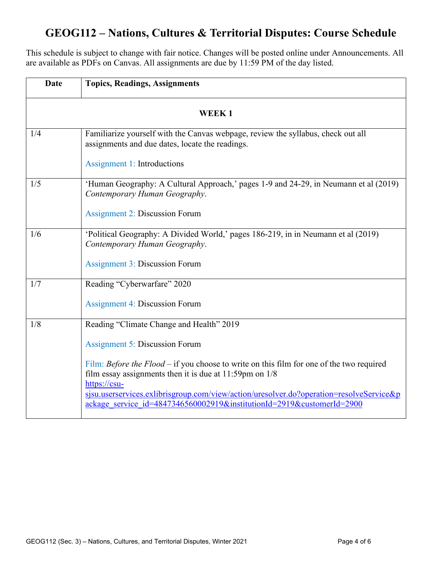# **GEOG112 – Nations, Cultures & Territorial Disputes: Course Schedule**

This schedule is subject to change with fair notice. Changes will be posted online under Announcements. All are available as PDFs on Canvas. All assignments are due by 11:59 PM of the day listed.

| <b>Date</b>  | <b>Topics, Readings, Assignments</b>                                                                                                                                     |  |
|--------------|--------------------------------------------------------------------------------------------------------------------------------------------------------------------------|--|
| <b>WEEK1</b> |                                                                                                                                                                          |  |
| 1/4          | Familiarize yourself with the Canvas webpage, review the syllabus, check out all<br>assignments and due dates, locate the readings.<br>Assignment 1: Introductions       |  |
|              |                                                                                                                                                                          |  |
| 1/5          | 'Human Geography: A Cultural Approach,' pages 1-9 and 24-29, in Neumann et al (2019)<br>Contemporary Human Geography.                                                    |  |
|              | <b>Assignment 2: Discussion Forum</b>                                                                                                                                    |  |
| 1/6          | 'Political Geography: A Divided World,' pages 186-219, in in Neumann et al (2019)<br>Contemporary Human Geography.                                                       |  |
|              | <b>Assignment 3: Discussion Forum</b>                                                                                                                                    |  |
| 1/7          | Reading "Cyberwarfare" 2020                                                                                                                                              |  |
|              | <b>Assignment 4: Discussion Forum</b>                                                                                                                                    |  |
| 1/8          | Reading "Climate Change and Health" 2019                                                                                                                                 |  |
|              | <b>Assignment 5: Discussion Forum</b>                                                                                                                                    |  |
|              | Film: Before the Flood – if you choose to write on this film for one of the two required<br>film essay assignments then it is due at $11:59$ pm on $1/8$<br>https://csu- |  |
|              | sjsu.userservices.exlibrisgroup.com/view/action/uresolver.do?operation=resolveService&p<br>ackage service id=4847346560002919&institutionId=2919&customerId=2900         |  |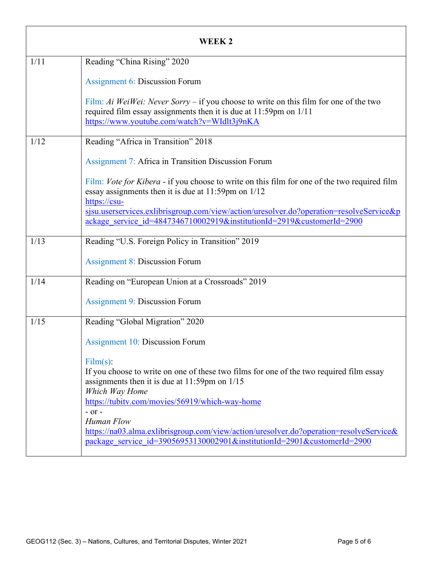| WEEK 2 |                                                                                                                                                                                                                                                                                                                                                     |
|--------|-----------------------------------------------------------------------------------------------------------------------------------------------------------------------------------------------------------------------------------------------------------------------------------------------------------------------------------------------------|
| 1/11   | Reading "China Rising" 2020                                                                                                                                                                                                                                                                                                                         |
|        | <b>Assignment 6: Discussion Forum</b>                                                                                                                                                                                                                                                                                                               |
|        | Film: Ai WeiWei: Never Sorry – if you choose to write on this film for one of the two<br>required film essay assignments then it is due at 11:59pm on 1/11<br>https://www.youtube.com/watch?v=WIdlt3j9nKA                                                                                                                                           |
| 1/12   | Reading "Africa in Transition" 2018                                                                                                                                                                                                                                                                                                                 |
|        | <b>Assignment 7: Africa in Transition Discussion Forum</b>                                                                                                                                                                                                                                                                                          |
|        | Film: Vote for Kibera - if you choose to write on this film for one of the two required film<br>essay assignments then it is due at $11:59$ pm on $1/12$<br>https://csu-                                                                                                                                                                            |
|        | sisu.userservices.exlibrisgroup.com/view/action/uresolver.do?operation=resolveService&p<br>ackage service id=4847346710002919&institutionId=2919&customerId=2900                                                                                                                                                                                    |
| 1/13   | Reading "U.S. Foreign Policy in Transition" 2019                                                                                                                                                                                                                                                                                                    |
|        | <b>Assignment 8: Discussion Forum</b>                                                                                                                                                                                                                                                                                                               |
| 1/14   | Reading on "European Union at a Crossroads" 2019                                                                                                                                                                                                                                                                                                    |
|        | <b>Assignment 9: Discussion Forum</b>                                                                                                                                                                                                                                                                                                               |
| 1/15   | Reading "Global Migration" 2020                                                                                                                                                                                                                                                                                                                     |
|        | <b>Assignment 10: Discussion Forum</b>                                                                                                                                                                                                                                                                                                              |
|        | Film(s):<br>If you choose to write on one of these two films for one of the two required film essay<br>assignments then it is due at $11:59$ pm on $1/15$<br>Which Way Home<br>https://tubitv.com/movies/56919/which-way-home<br>$-$ or $-$<br>Human Flow<br>https://na03.alma.exlibrisgroup.com/view/action/uresolver.do?operation=resolveService& |
|        | package service id=39056953130002901&institutionId=2901&customerId=2900                                                                                                                                                                                                                                                                             |